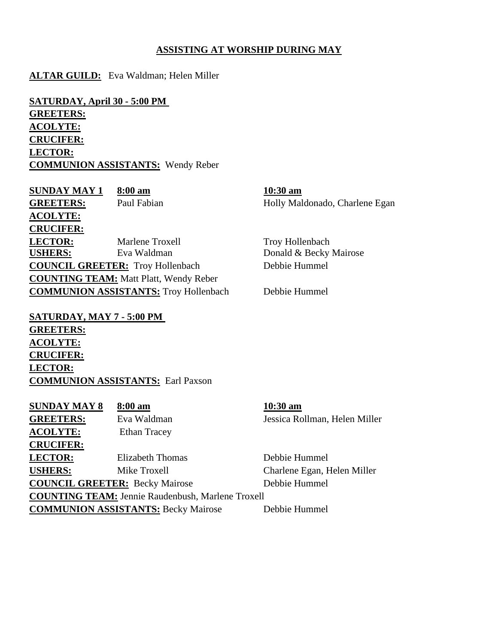## **ASSISTING AT WORSHIP DURING MAY**

## **ALTAR GUILD:** Eva Waldman; Helen Miller

**SATURDAY, April 30 - 5:00 PM GREETERS: ACOLYTE: CRUCIFER: LECTOR: COMMUNION ASSISTANTS:** Wendy Reber

**SUNDAY MAY 1 8:00 am 10:30 am** GREETERS: Paul Fabian Holly Maldonado, Charlene Egan **ACOLYTE: CRUCIFER: LECTOR:** Marlene Troxell Troy Hollenbach **USHERS:** Eva Waldman **Donald & Becky Mairose COUNCIL GREETER:** Troy Hollenbach Debbie Hummel **COUNTING TEAM:** Matt Platt, Wendy Reber **COMMUNION ASSISTANTS:** Troy Hollenbach Debbie Hummel

**SATURDAY, MAY 7 - 5:00 PM GREETERS: ACOLYTE: CRUCIFER: LECTOR: COMMUNION ASSISTANTS:** Earl Paxson

| <b>GREETERS:</b><br>Eva Waldman<br><b>ACOLYTE:</b><br><b>Ethan Tracey</b><br><b>CRUCIFER:</b><br><b>LECTOR:</b><br>Debbie Hummel<br>Elizabeth Thomas<br><b>USHERS:</b><br>Charlene Egan, Helen Miller<br>Mike Troxell<br><b>COUNCIL GREETER:</b> Becky Mairose<br>Debbie Hummel<br><b>COUNTING TEAM: Jennie Raudenbush, Marlene Troxell</b><br><b>COMMUNION ASSISTANTS: Becky Mairose</b><br>Debbie Hummel | <b>SUNDAY MAY 8</b> | 8:00 am | $10:30$ am                    |  |
|------------------------------------------------------------------------------------------------------------------------------------------------------------------------------------------------------------------------------------------------------------------------------------------------------------------------------------------------------------------------------------------------------------|---------------------|---------|-------------------------------|--|
|                                                                                                                                                                                                                                                                                                                                                                                                            |                     |         | Jessica Rollman, Helen Miller |  |
|                                                                                                                                                                                                                                                                                                                                                                                                            |                     |         |                               |  |
|                                                                                                                                                                                                                                                                                                                                                                                                            |                     |         |                               |  |
|                                                                                                                                                                                                                                                                                                                                                                                                            |                     |         |                               |  |
|                                                                                                                                                                                                                                                                                                                                                                                                            |                     |         |                               |  |
|                                                                                                                                                                                                                                                                                                                                                                                                            |                     |         |                               |  |
|                                                                                                                                                                                                                                                                                                                                                                                                            |                     |         |                               |  |
|                                                                                                                                                                                                                                                                                                                                                                                                            |                     |         |                               |  |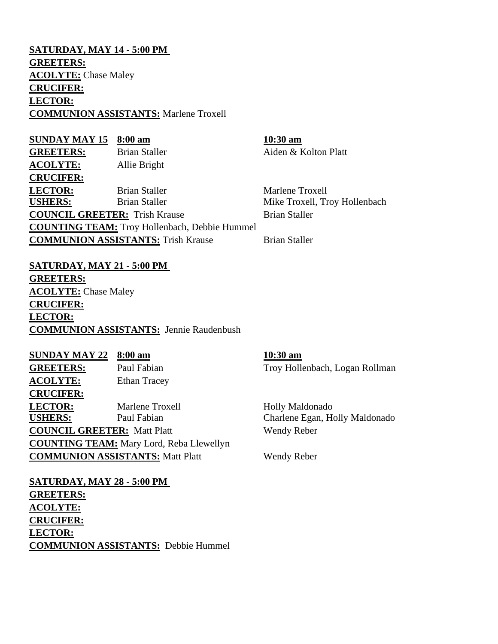**SATURDAY, MAY 14 - 5:00 PM GREETERS: ACOLYTE:** Chase Maley **CRUCIFER: LECTOR: COMMUNION ASSISTANTS:** Marlene Troxell

**SUNDAY MAY 15 8:00 am 10:30 am** GREETERS: Brian Staller Aiden & Kolton Platt **ACOLYTE:** Allie Bright **CRUCIFER: LECTOR:** Brian Staller Marlene Troxell USHERS: Brian Staller Mike Troxell, Troy Hollenbach **COUNCIL GREETER:** Trish Krause Brian Staller **COUNTING TEAM:** Troy Hollenbach, Debbie Hummel **COMMUNION ASSISTANTS:** Trish Krause Brian Staller

**SATURDAY, MAY 21 - 5:00 PM GREETERS: ACOLYTE:** Chase Maley **CRUCIFER: LECTOR: COMMUNION ASSISTANTS:** Jennie Raudenbush

**SUNDAY MAY 22 8:00 am 10:30 am GREETERS:** Paul Fabian Troy Hollenbach, Logan Rollman **ACOLYTE:** Ethan Tracey **CRUCIFER: LECTOR:** Marlene Troxell Holly Maldonado **USHERS:** Paul Fabian Charlene Egan, Holly Maldonado **COUNCIL GREETER:** Matt Platt Wendy Reber **COUNTING TEAM:** Mary Lord, Reba Llewellyn **COMMUNION ASSISTANTS:** Matt Platt Wendy Reber

**SATURDAY, MAY 28 - 5:00 PM GREETERS: ACOLYTE: CRUCIFER: LECTOR: COMMUNION ASSISTANTS:** Debbie Hummel